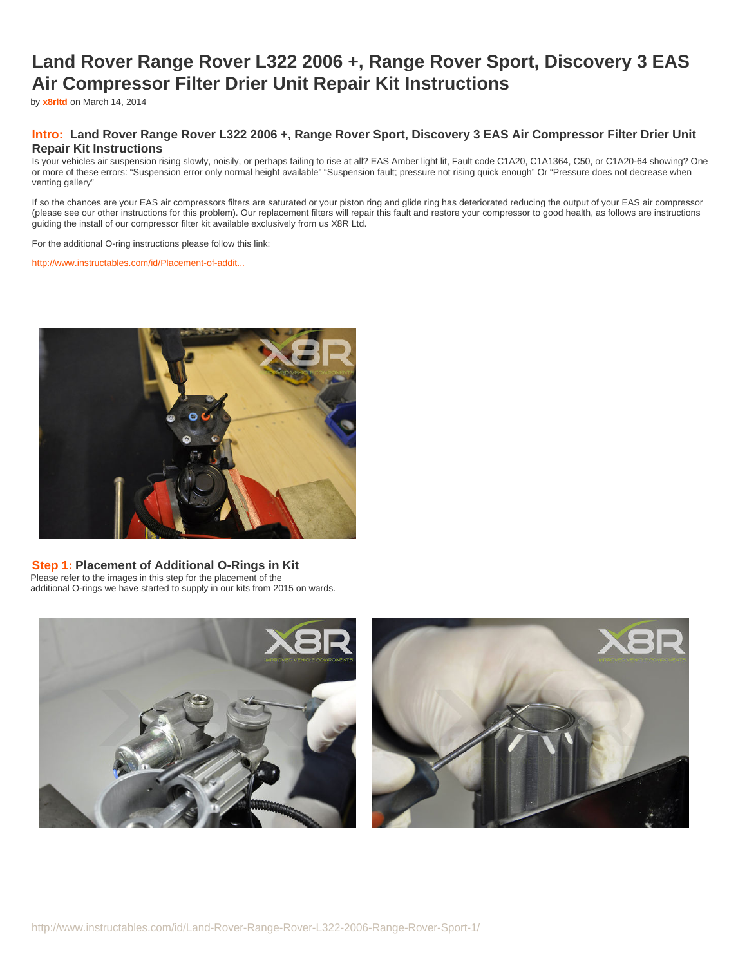# **Land Rover Range Rover L322 2006 +, Range Rover Sport, Discovery 3 EAS Air Compressor Filter Drier Unit Repair Kit Instructions**

by **[x8rltd](http://www.instructables.com/member/x8rltd/?utm_source=pdf&utm_campaign=title)** on March 14, 2014

### **Intro: Land Rover Range Rover L322 2006 +, Range Rover Sport, Discovery 3 EAS Air Compressor Filter Drier Unit Repair Kit Instructions**

Is your vehicles air suspension rising slowly, noisily, or perhaps failing to rise at all? EAS Amber light lit, Fault code C1A20, C1A1364, C50, or C1A20-64 showing? One or more of these errors: "Suspension error only normal height available" "Suspension fault; pressure not rising quick enough" Or "Pressure does not decrease when venting gallery"

If so the chances are your EAS air compressors filters are saturated or your piston ring and glide ring has deteriorated reducing the output of your EAS air compressor (please see our other instructions for this problem). Our replacement filters will repair this fault and restore your compressor to good health, as follows are instructions guiding the install of our compressor filter kit available exclusively from us X8R Ltd.

For the additional O-ring instructions please follow this link:

[http://www.instructables.com/id/Placement-of-addit...](http://www.instructables.com/id/Placement-of-additional-Hitachi-seals/)



#### **Step 1: Placement of Additional O-Rings in Kit**

Please refer to the images in this step for the placement of the additional O-rings we have started to supply in our kits from 2015 on wards.

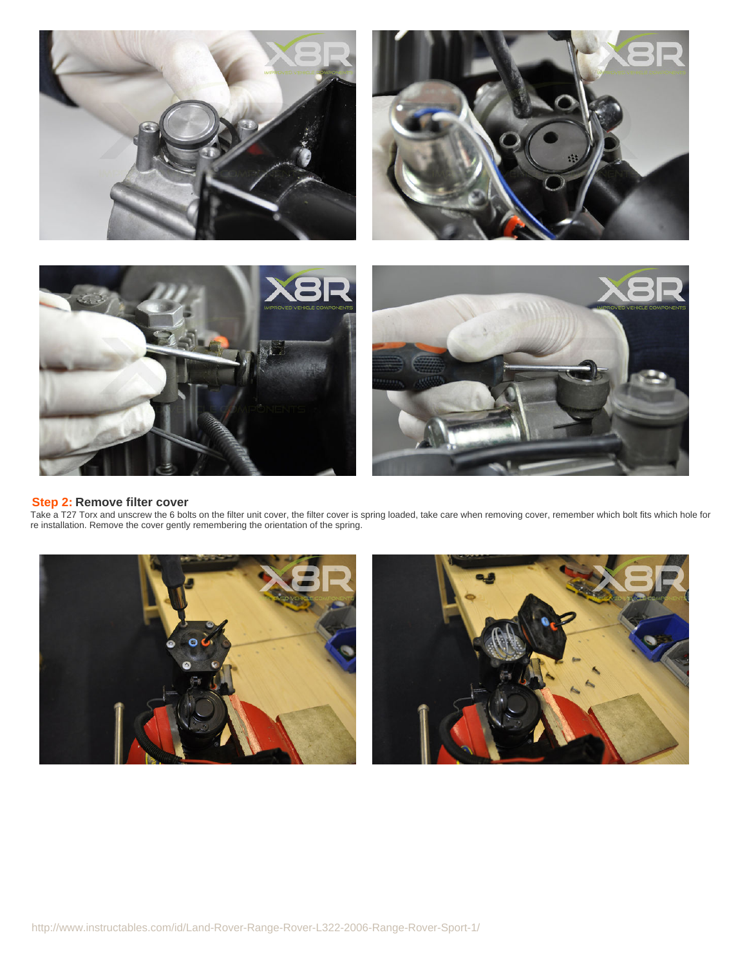

#### **Step 2: Remove filter cover**

Take a T27 Torx and unscrew the 6 bolts on the filter unit cover, the filter cover is spring loaded, take care when removing cover, remember which bolt fits which hole for re installation. Remove the cover gently remembering the orientation of the spring.

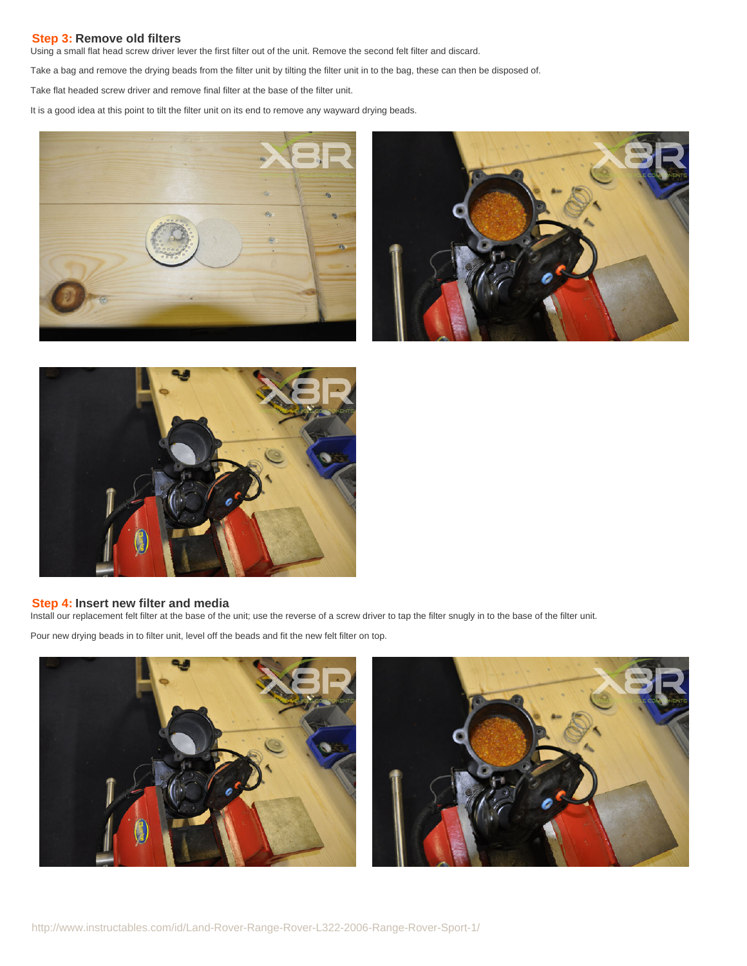#### **Step 3: Remove old filters**

Using a small flat head screw driver lever the first filter out of the unit. Remove the second felt filter and discard.

Take a bag and remove the drying beads from the filter unit by tilting the filter unit in to the bag, these can then be disposed of.

Take flat headed screw driver and remove final filter at the base of the filter unit.

It is a good idea at this point to tilt the filter unit on its end to remove any wayward drying beads.







## **Step 4: Insert new filter and media**

Install our replacement felt filter at the base of the unit; use the reverse of a screw driver to tap the filter snugly in to the base of the filter unit.

Pour new drying beads in to filter unit, level off the beads and fit the new felt filter on top.



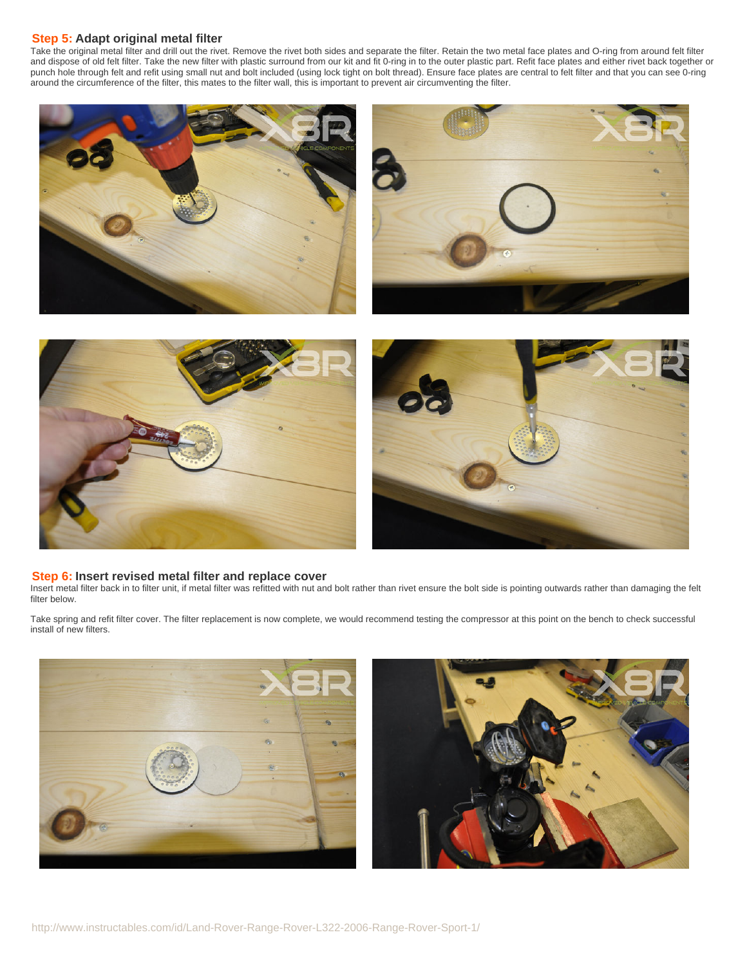#### **Step 5: Adapt original metal filter**

Take the original metal filter and drill out the rivet. Remove the rivet both sides and separate the filter. Retain the two metal face plates and O-ring from around felt filter and dispose of old felt filter. Take the new filter with plastic surround from our kit and fit 0-ring in to the outer plastic part. Refit face plates and either rivet back together or punch hole through felt and refit using small nut and bolt included (using lock tight on bolt thread). Ensure face plates are central to felt filter and that you can see 0-ring around the circumference of the filter, this mates to the filter wall, this is important to prevent air circumventing the filter.





#### **Step 6: Insert revised metal filter and replace cover**

Insert metal filter back in to filter unit, if metal filter was refitted with nut and bolt rather than rivet ensure the bolt side is pointing outwards rather than damaging the felt filter below.

Take spring and refit filter cover. The filter replacement is now complete, we would recommend testing the compressor at this point on the bench to check successful install of new filters.